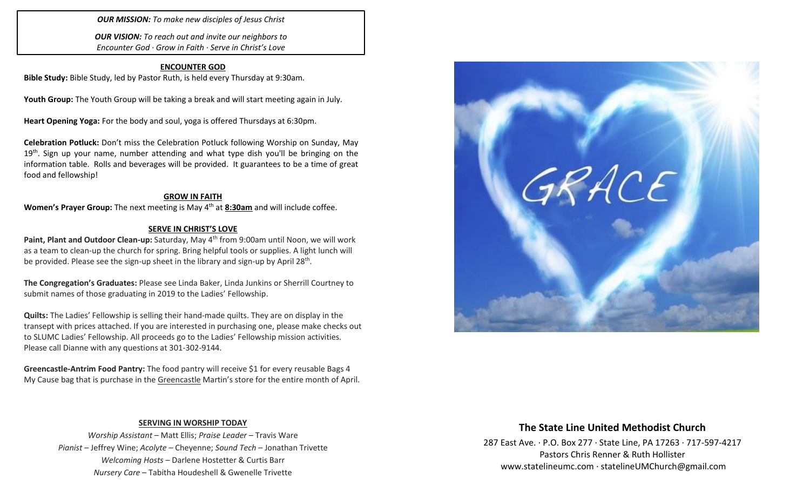*OUR MISSION: To make new disciples of Jesus Christ*

*OUR VISION: To reach out and invite our neighbors to Encounter God · Grow in Faith · Serve in Christ's Love*

#### **ENCOUNTER GOD**

**Bible Study:** Bible Study, led by Pastor Ruth, is held every Thursday at 9:30am.

**Youth Group:** The Youth Group will be taking a break and will start meeting again in July.

**Heart Opening Yoga:** For the body and soul, yoga is offered Thursdays at 6:30pm.

**Celebration Potluck:** Don't miss the Celebration Potluck following Worship on Sunday, May 19<sup>th</sup>. Sign up your name, number attending and what type dish you'll be bringing on the information table. Rolls and beverages will be provided. It guarantees to be a time of great food and fellowship!

#### **GROW IN FAITH**

**Women's Prayer Group:** The next meeting is May 4th at **8:30am** and will include coffee.

#### **SERVE IN CHRIST'S LOVE**

Paint, Plant and Outdoor Clean-up: Saturday, May 4<sup>th</sup> from 9:00am until Noon, we will work as a team to clean-up the church for spring. Bring helpful tools or supplies. A light lunch will be provided. Please see the sign-up sheet in the library and sign-up by April 28<sup>th</sup>.

**The Congregation's Graduates:** Please see Linda Baker, Linda Junkins or Sherrill Courtney to submit names of those graduating in 2019 to the Ladies' Fellowship.

**Quilts:** The Ladies' Fellowship is selling their hand-made quilts. They are on display in the transept with prices attached. If you are interested in purchasing one, please make checks out to SLUMC Ladies' Fellowship. All proceeds go to the Ladies' Fellowship mission activities. Please call Dianne with any questions at 301-302-9144.

**Greencastle-Antrim Food Pantry:** The food pantry will receive \$1 for every reusable Bags 4 My Cause bag that is purchase in the Greencastle Martin's store for the entire month of April.



#### **SERVING IN WORSHIP TODAY**

*Worship Assistant* – Matt Ellis; *Praise Leader* – Travis Ware *Pianist* – Jeffrey Wine; *Acolyte* – Cheyenne; *Sound Tech* – Jonathan Trivette *Welcoming Hosts* – Darlene Hostetter & Curtis Barr *Nursery Care* – Tabitha Houdeshell & Gwenelle Trivette

## **The State Line United Methodist Church**

287 East Ave. · P.O. Box 277 · State Line, PA 17263 · 717-597-4217 Pastors Chris Renner & Ruth Hollister [www.statelineumc.com](http://www.statelineumc.com/) · statelineUMChurch@gmail.com